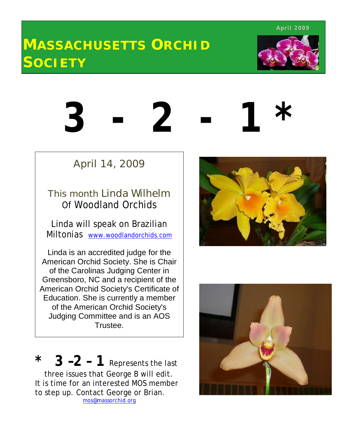**April 2009**

# **MASSACHUSETTS ORCHID SOCIETY**



# **3 - 2 - 1 \***

4

# April 14, 2009

# This month Linda Wilhelm Of Woodland Orchids

Linda will speak on Brazilian Miltonias www.woodlandorchids.com

Linda is an accredited judge for the American Orchid Society. She is Chair of the Carolinas Judging Center in Greensboro, NC and a recipient of the American Orchid Society's Certificate of Education. She is currently a member of the American Orchid Society's Judging Committee and is an AOS Trustee.

 $*$  **3 –2 – 1** Represents the last three issues that George B will edit. It is time for an interested MOS member to step up. Contact George or Brian. mos@massorchid.org



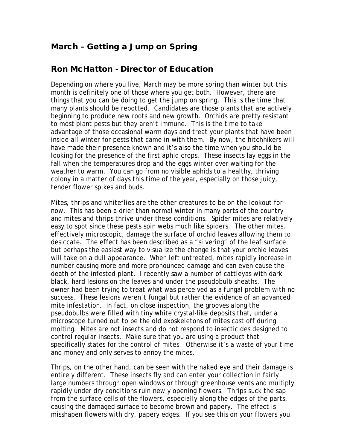#### **March – Getting a Jump on Spring**

#### **Ron McHatton - Director of Education**

Depending on where you live, March may be more spring than winter but this month is definitely one of those where you get both. However, there are things that you can be doing to get the jump on spring. This is the time that many plants should be repotted. Candidates are those plants that are actively beginning to produce new roots and new growth. Orchids are pretty resistant to most plant pests but they aren't immune. This is the time to take advantage of those occasional warm days and treat your plants that have been inside all winter for pests that came in with them. By now, the hitchhikers will have made their presence known and it's also the time when you should be looking for the presence of the first aphid crops. These insects lay eggs in the fall when the temperatures drop and the eggs winter over waiting for the weather to warm. You can go from no visible aphids to a healthy, thriving colony in a matter of days this time of the year, especially on those juicy, tender flower spikes and buds.

Mites, thrips and whiteflies are the other creatures to be on the lookout for now. This has been a drier than normal winter in many parts of the country and mites and thrips thrive under these conditions. Spider mites are relatively easy to spot since these pests spin webs much like spiders. The other mites, effectively microscopic, damage the surface of orchid leaves allowing them to desiccate. The effect has been described as a "silvering" of the leaf surface but perhaps the easiest way to visualize the change is that your orchid leaves will take on a dull appearance. When left untreated, mites rapidly increase in number causing more and more pronounced damage and can even cause the death of the infested plant. I recently saw a number of cattleyas with dark black, hard lesions on the leaves and under the pseudobulb sheaths. The owner had been trying to treat what was perceived as a fungal problem with no success. These lesions weren't fungal but rather the evidence of an advanced mite infestation. In fact, on close inspection, the grooves along the pseudobulbs were filled with tiny white crystal-like deposits that, under a microscope turned out to be the old exoskeletons of mites cast off during molting. Mites are not insects and do not respond to insecticides designed to control regular insects. Make sure that you are using a product that specifically states for the control of mites. Otherwise it's a waste of your time and money and only serves to annoy the mites.

Thrips, on the other hand, can be seen with the naked eye and their damage is entirely different. These insects fly and can enter your collection in fairly large numbers through open windows or through greenhouse vents and multiply rapidly under dry conditions ruin newly opening flowers. Thrips suck the sap from the surface cells of the flowers, especially along the edges of the parts, causing the damaged surface to become brown and papery. The effect is misshapen flowers with dry, papery edges. If you see this on your flowers you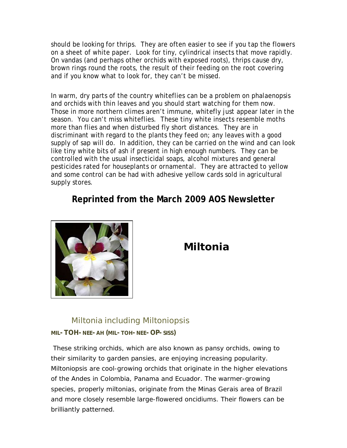should be looking for thrips. They are often easier to see if you tap the flowers on a sheet of white paper. Look for tiny, cylindrical insects that move rapidly. On vandas (and perhaps other orchids with exposed roots), thrips cause dry, brown rings round the roots, the result of their feeding on the root covering and if you know what to look for, they can't be missed.

In warm, dry parts of the country whiteflies can be a problem on phalaenopsis and orchids with thin leaves and you should start watching for them now. Those in more northern climes aren't immune, whitefly just appear later in the season. You can't miss whiteflies. These tiny white insects resemble moths more than flies and when disturbed fly short distances. They are in discriminant with regard to the plants they feed on; any leaves with a good supply of sap will do. In addition, they can be carried on the wind and can look like tiny white bits of ash if present in high enough numbers. They can be controlled with the usual insecticidal soaps, alcohol mixtures and general pesticides rated for houseplants or ornamental. They are attracted to yellow and some control can be had with adhesive yellow cards sold in agricultural supply stores.

### **Reprinted from the March 2009 AOS Newsletter**



# **Miltonia**

#### Miltonia including Miltoniopsis

#### **MIL-TOH-NEE-AH (MIL-TOH-NEE-OP-SISS)**

These striking orchids, which are also known as pansy orchids, owing to their similarity to garden pansies, are enjoying increasing popularity. Miltoniopsis are cool-growing orchids that originate in the higher elevations of the Andes in Colombia, Panama and Ecuador. The warmer-growing species, properly miltonias, originate from the Minas Gerais area of Brazil and more closely resemble large-flowered oncidiums. Their flowers can be brilliantly patterned.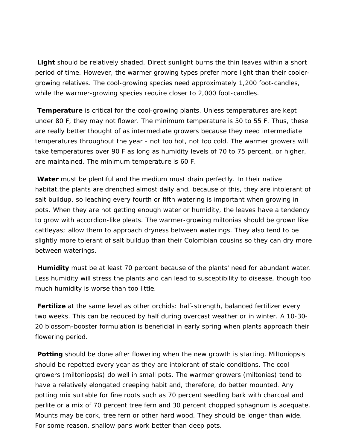**Light** should be relatively shaded. Direct sunlight burns the thin leaves within a short period of time. However, the warmer growing types prefer more light than their coolergrowing relatives. The cool-growing species need approximately 1,200 foot-candles, while the warmer-growing species require closer to 2,000 foot-candles.

 under 80 F, they may not flower. The minimum temperature is 50 to 55 F. Thus, these are really better thought of as intermediate growers because they need intermediate **Temperature** is critical for the cool-growing plants. Unless temperatures are kept temperatures throughout the year - not too hot, not too cold. The warmer growers will take temperatures over 90 F as long as humidity levels of 70 to 75 percent, or higher, are maintained. The minimum temperature is 60 F.

**Water** must be plentiful and the medium must drain perfectly. In their native habitat, the plants are drenched almost daily and, because of this, they are intolerant of salt buildup, so leaching every fourth or fifth watering is important when growing in pots. When they are not getting enough water or humidity, the leaves have a tendency to grow with accordion-like pleats. The warmer-growing miltonias should be grown like cattleyas; allow them to approach dryness between waterings. They also tend to be slightly more tolerant of salt buildup than their Colombian cousins so they can dry more between waterings.

**Humidity** must be at least 70 percent because of the plants' need for abundant water. Less humidity will stress the plants and can lead to susceptibility to disease, though too much humidity is worse than too little.

**Fertilize** at the same level as other orchids: half-strength, balanced fertilizer every two weeks. This can be reduced by half during overcast weather or in winter. A 10-30- 20 blossom-booster formulation is beneficial in early spring when plants approach their flowering period.

**Potting** should be done after flowering when the new growth is starting. Miltoniopsis should be repotted every year as they are intolerant of stale conditions. The cool growers (miltoniopsis) do well in small pots. The warmer growers (miltonias) tend to have a relatively elongated creeping habit and, therefore, do better mounted. Any potting mix suitable for fine roots such as 70 percent seedling bark with charcoal and perlite or a mix of 70 percent tree fern and 30 percent chopped sphagnum is adequate. Mounts may be cork, tree fern or other hard wood. They should be longer than wide. For some reason, shallow pans work better than deep pots.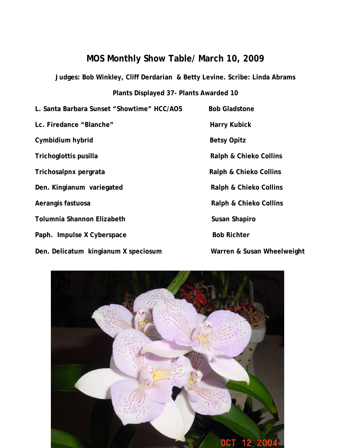#### **MOS Monthly Show Table/ March 10, 2009**

**Judges: Bob Winkley, Cliff Derdarian & Betty Levine. Scribe: Linda Abrams**

**Plants Displayed 37- Plants Awarded 10**

| L. Santa Barbara Sunset "Showtime" HCC/AOS | <b>Bob Gladstone</b>              |
|--------------------------------------------|-----------------------------------|
| Lc. Firedance "Blanche"                    | <b>Harry Kubick</b>               |
| Cymbidium hybrid                           | <b>Betsy Opitz</b>                |
| Trichoglottis pusilla                      | <b>Ralph &amp; Chieko Collins</b> |
| Trichosalpnx pergrata                      | <b>Ralph &amp; Chieko Collins</b> |
| Den. Kingianum variegated                  | <b>Ralph &amp; Chieko Collins</b> |
| Aerangis fastuosa                          | <b>Ralph &amp; Chieko Collins</b> |
| <b>Tolumnia Shannon Elizabeth</b>          | <b>Susan Shapiro</b>              |
| Paph. Impulse X Cyberspace                 | <b>Bob Richter</b>                |
| Den Delicatum kingianum X speciosum        | Warren & Susan Wheel              |

**Den. In the Warren & Susan Wheelweight**